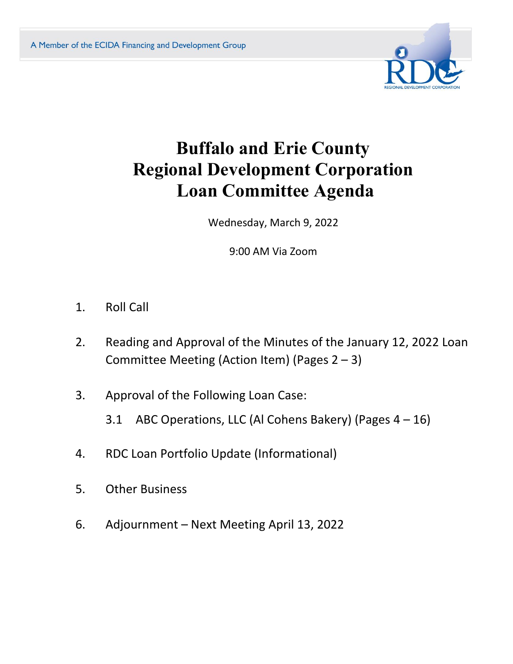

# **Buffalo and Erie County Regional Development Corporation Loan Committee Agenda**

Wednesday, March 9, 2022

9:00 AM Via Zoom

- 1. Roll Call
- 2. Reading and Approval of the Minutes of the January 12, 2022 Loan Committee Meeting (Action Item) (Pages 2 – 3)
- 3. Approval of the Following Loan Case:
	- 3.1 ABC Operations, LLC (Al Cohens Bakery) (Pages 4 16)
- 4. RDC Loan Portfolio Update (Informational)
- 5. Other Business
- 6. Adjournment Next Meeting April 13, 2022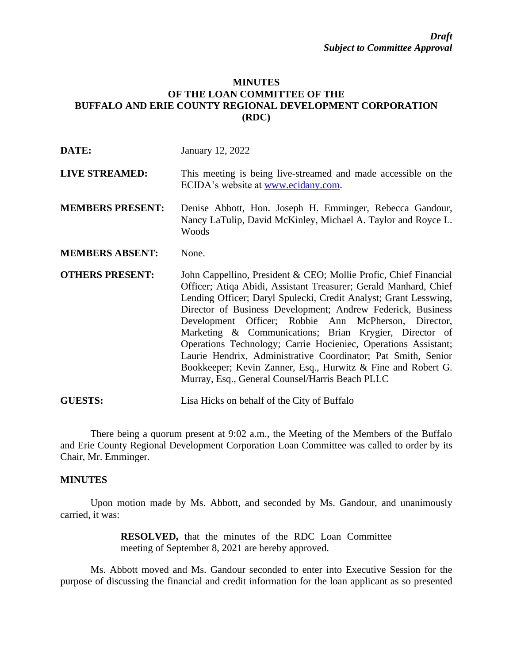## **MINUTES OF THE LOAN COMMITTEE OF THE BUFFALO AND ERIE COUNTY REGIONAL DEVELOPMENT CORPORATION (RDC)**

| DATE:                   | January 12, 2022                                                                                                                                                                                                                                                                                                                                                                                                                                                                                                                                                                                                                                |
|-------------------------|-------------------------------------------------------------------------------------------------------------------------------------------------------------------------------------------------------------------------------------------------------------------------------------------------------------------------------------------------------------------------------------------------------------------------------------------------------------------------------------------------------------------------------------------------------------------------------------------------------------------------------------------------|
| <b>LIVE STREAMED:</b>   | This meeting is being live-streamed and made accessible on the<br>ECIDA's website at www.ecidany.com.                                                                                                                                                                                                                                                                                                                                                                                                                                                                                                                                           |
| <b>MEMBERS PRESENT:</b> | Denise Abbott, Hon. Joseph H. Emminger, Rebecca Gandour,<br>Nancy LaTulip, David McKinley, Michael A. Taylor and Royce L.<br>Woods                                                                                                                                                                                                                                                                                                                                                                                                                                                                                                              |
| <b>MEMBERS ABSENT:</b>  | None.                                                                                                                                                                                                                                                                                                                                                                                                                                                                                                                                                                                                                                           |
| <b>OTHERS PRESENT:</b>  | John Cappellino, President & CEO; Mollie Profic, Chief Financial<br>Officer; Atiqa Abidi, Assistant Treasurer; Gerald Manhard, Chief<br>Lending Officer; Daryl Spulecki, Credit Analyst; Grant Lesswing,<br>Director of Business Development; Andrew Federick, Business<br>Development Officer; Robbie Ann McPherson, Director,<br>Marketing & Communications; Brian Krygier, Director of<br>Operations Technology; Carrie Hocieniec, Operations Assistant;<br>Laurie Hendrix, Administrative Coordinator; Pat Smith, Senior<br>Bookkeeper; Kevin Zanner, Esq., Hurwitz & Fine and Robert G.<br>Murray, Esq., General Counsel/Harris Beach PLLC |
| <b>GUESTS:</b>          | Lisa Hicks on behalf of the City of Buffalo                                                                                                                                                                                                                                                                                                                                                                                                                                                                                                                                                                                                     |

There being a quorum present at 9:02 a.m., the Meeting of the Members of the Buffalo and Erie County Regional Development Corporation Loan Committee was called to order by its Chair, Mr. Emminger.

## **MINUTES**

Upon motion made by Ms. Abbott, and seconded by Ms. Gandour, and unanimously carried, it was:

> **RESOLVED,** that the minutes of the RDC Loan Committee meeting of September 8, 2021 are hereby approved.

Ms. Abbott moved and Ms. Gandour seconded to enter into Executive Session for the purpose of discussing the financial and credit information for the loan applicant as so presented